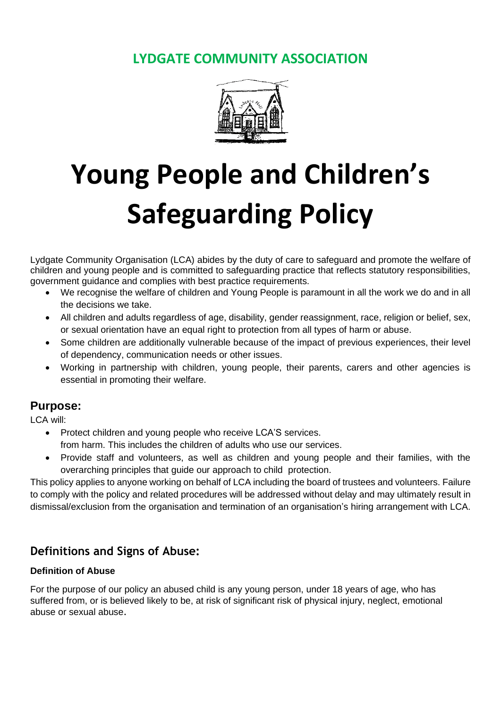# **LYDGATE COMMUNITY ASSOCIATION**



# **Young People and Children's Safeguarding Policy**

Lydgate Community Organisation (LCA) abides by the duty of care to safeguard and promote the welfare of children and young people and is committed to safeguarding practice that reflects statutory responsibilities, government guidance and complies with best practice requirements.

- We recognise the welfare of children and Young People is paramount in all the work we do and in all the decisions we take.
- All children and adults regardless of age, disability, gender reassignment, race, religion or belief, sex, or sexual orientation have an equal right to protection from all types of harm or abuse.
- Some children are additionally vulnerable because of the impact of previous experiences, their level of dependency, communication needs or other issues.
- Working in partnership with children, young people, their parents, carers and other agencies is essential in promoting their welfare.

## **Purpose:**

LCA will:

- Protect children and young people who receive LCA'S services. from harm. This includes the children of adults who use our services.
- Provide staff and volunteers, as well as children and young people and their families, with the overarching principles that guide our approach to child protection.

This policy applies to anyone working on behalf of LCA including the board of trustees and volunteers. Failure to comply with the policy and related procedures will be addressed without delay and may ultimately result in dismissal/exclusion from the organisation and termination of an organisation's hiring arrangement with LCA.

# **Definitions and Signs of Abuse:**

### **Definition of Abuse**

For the purpose of our policy an abused child is any young person, under 18 years of age, who has suffered from, or is believed likely to be, at risk of significant risk of physical injury, neglect, emotional abuse or sexual abuse.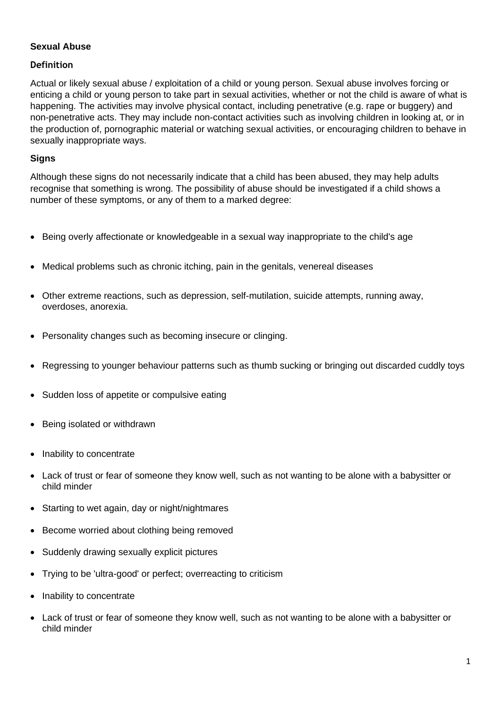#### **Sexual Abuse**

#### **Definition**

Actual or likely sexual abuse / exploitation of a child or young person. Sexual abuse involves forcing or enticing a child or young person to take part in sexual activities, whether or not the child is aware of what is happening. The activities may involve physical contact, including penetrative (e.g. rape or buggery) and non-penetrative acts. They may include non-contact activities such as involving children in looking at, or in the production of, pornographic material or watching sexual activities, or encouraging children to behave in sexually inappropriate ways.

#### **Signs**

Although these signs do not necessarily indicate that a child has been abused, they may help adults recognise that something is wrong. The possibility of abuse should be investigated if a child shows a number of these symptoms, or any of them to a marked degree:

- Being overly affectionate or knowledgeable in a sexual way inappropriate to the child's age
- Medical problems such as chronic itching, pain in the genitals, venereal diseases
- Other extreme reactions, such as depression, self-mutilation, suicide attempts, running away, overdoses, anorexia.
- Personality changes such as becoming insecure or clinging.
- Regressing to younger behaviour patterns such as thumb sucking or bringing out discarded cuddly toys
- Sudden loss of appetite or compulsive eating
- Being isolated or withdrawn
- Inability to concentrate
- Lack of trust or fear of someone they know well, such as not wanting to be alone with a babysitter or child minder
- Starting to wet again, day or night/nightmares
- Become worried about clothing being removed
- Suddenly drawing sexually explicit pictures
- Trying to be 'ultra-good' or perfect; overreacting to criticism
- Inability to concentrate
- Lack of trust or fear of someone they know well, such as not wanting to be alone with a babysitter or child minder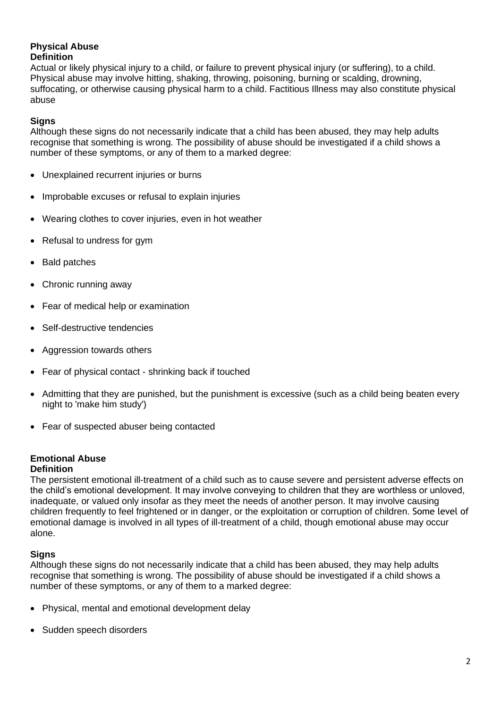#### **Physical Abuse Definition**

Actual or likely physical injury to a child, or failure to prevent physical injury (or suffering), to a child. Physical abuse may involve hitting, shaking, throwing, poisoning, burning or scalding, drowning, suffocating, or otherwise causing physical harm to a child. Factitious Illness may also constitute physical abuse

#### **Signs**

Although these signs do not necessarily indicate that a child has been abused, they may help adults recognise that something is wrong. The possibility of abuse should be investigated if a child shows a number of these symptoms, or any of them to a marked degree:

- Unexplained recurrent injuries or burns
- Improbable excuses or refusal to explain injuries
- Wearing clothes to cover injuries, even in hot weather
- Refusal to undress for gym
- **Bald patches**
- Chronic running away
- Fear of medical help or examination
- Self-destructive tendencies
- Aggression towards others
- Fear of physical contact shrinking back if touched
- Admitting that they are punished, but the punishment is excessive (such as a child being beaten every night to 'make him study')
- Fear of suspected abuser being contacted

## **Emotional Abuse**

#### **Definition**

The persistent emotional ill-treatment of a child such as to cause severe and persistent adverse effects on the child's emotional development. It may involve conveying to children that they are worthless or unloved, inadequate, or valued only insofar as they meet the needs of another person. It may involve causing children frequently to feel frightened or in danger, or the exploitation or corruption of children. Some level of emotional damage is involved in all types of ill-treatment of a child, though emotional abuse may occur alone.

#### **Signs**

Although these signs do not necessarily indicate that a child has been abused, they may help adults recognise that something is wrong. The possibility of abuse should be investigated if a child shows a number of these symptoms, or any of them to a marked degree:

- Physical, mental and emotional development delay
- Sudden speech disorders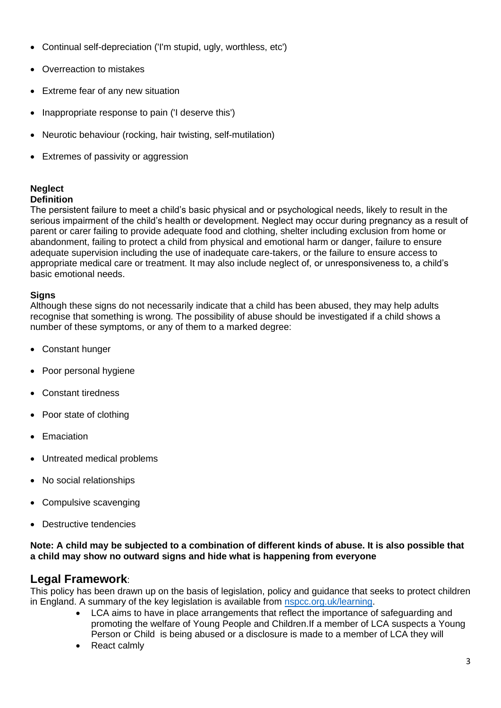- Continual self-depreciation ('I'm stupid, ugly, worthless, etc')
- Overreaction to mistakes
- Extreme fear of any new situation
- Inappropriate response to pain ('I deserve this')
- Neurotic behaviour (rocking, hair twisting, self-mutilation)
- Extremes of passivity or aggression

#### **Neglect Definition**

The persistent failure to meet a child's basic physical and or psychological needs, likely to result in the serious impairment of the child's health or development. Neglect may occur during pregnancy as a result of parent or carer failing to provide adequate food and clothing, shelter including exclusion from home or abandonment, failing to protect a child from physical and emotional harm or danger, failure to ensure adequate supervision including the use of inadequate care-takers, or the failure to ensure access to appropriate medical care or treatment. It may also include neglect of, or unresponsiveness to, a child's basic emotional needs.

#### **Signs**

Although these signs do not necessarily indicate that a child has been abused, they may help adults recognise that something is wrong. The possibility of abuse should be investigated if a child shows a number of these symptoms, or any of them to a marked degree:

- Constant hunger
- Poor personal hygiene
- Constant tiredness
- Poor state of clothing
- **Emaciation**
- Untreated medical problems
- No social relationships
- Compulsive scavenging
- Destructive tendencies

#### **Note: A child may be subjected to a combination of different kinds of abuse. It is also possible that a child may show no outward signs and hide what is happening from everyone**

## **Legal Framework**:

This policy has been drawn up on the basis of legislation, policy and guidance that seeks to protect children in England. A summary of the key legislation is available from [nspcc.org.uk/learning.](https://learning.nspcc.org.uk/)

- LCA aims to have in place arrangements that reflect the importance of safeguarding and promoting the welfare of Young People and Children.If a member of LCA suspects a Young Person or Child is being abused or a disclosure is made to a member of LCA they will
- React calmly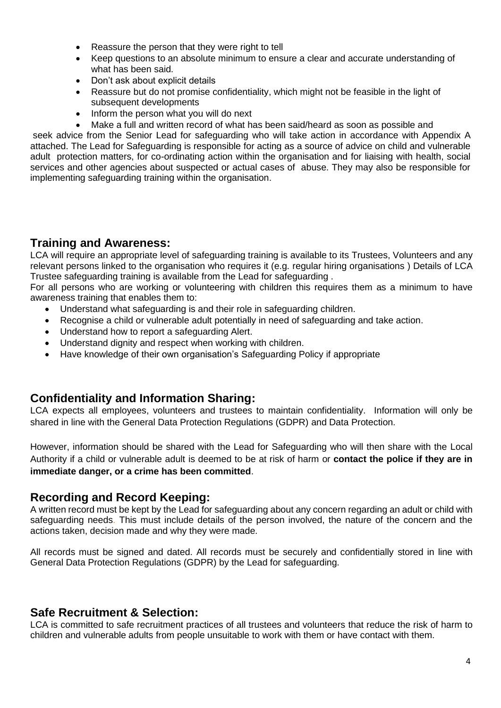- Reassure the person that they were right to tell
- Keep questions to an absolute minimum to ensure a clear and accurate understanding of what has been said.
- Don't ask about explicit details
- Reassure but do not promise confidentiality, which might not be feasible in the light of subsequent developments
- Inform the person what you will do next
- Make a full and written record of what has been said/heard as soon as possible and

seek advice from the Senior Lead for safeguarding who will take action in accordance with Appendix A attached. The Lead for Safeguarding is responsible for acting as a source of advice on child and vulnerable adult protection matters, for co-ordinating action within the organisation and for liaising with health, social services and other agencies about suspected or actual cases of abuse. They may also be responsible for implementing safeguarding training within the organisation.

## **Training and Awareness:**

LCA will require an appropriate level of safeguarding training is available to its Trustees, Volunteers and any relevant persons linked to the organisation who requires it (e.g. regular hiring organisations ) Details of LCA Trustee safeguarding training is available from the Lead for safeguarding .

For all persons who are working or volunteering with children this requires them as a minimum to have awareness training that enables them to:

- Understand what safeguarding is and their role in safeguarding children.
- Recognise a child or vulnerable adult potentially in need of safeguarding and take action.
- Understand how to report a safeguarding Alert.
- Understand dignity and respect when working with children.
- Have knowledge of their own organisation's Safeguarding Policy if appropriate

## **Confidentiality and Information Sharing:**

LCA expects all employees, volunteers and trustees to maintain confidentiality. Information will only be shared in line with the General Data Protection Regulations (GDPR) and Data Protection.

However, information should be shared with the Lead for Safeguarding who will then share with the Local Authority if a child or vulnerable adult is deemed to be at risk of harm or **contact the police if they are in immediate danger, or a crime has been committed**.

## **Recording and Record Keeping:**

A written record must be kept by the Lead for safeguarding about any concern regarding an adult or child with safeguarding needs. This must include details of the person involved, the nature of the concern and the actions taken, decision made and why they were made.

All records must be signed and dated. All records must be securely and confidentially stored in line with General Data Protection Regulations (GDPR) by the Lead for safeguarding.

## **Safe Recruitment & Selection:**

LCA is committed to safe recruitment practices of all trustees and volunteers that reduce the risk of harm to children and vulnerable adults from people unsuitable to work with them or have contact with them.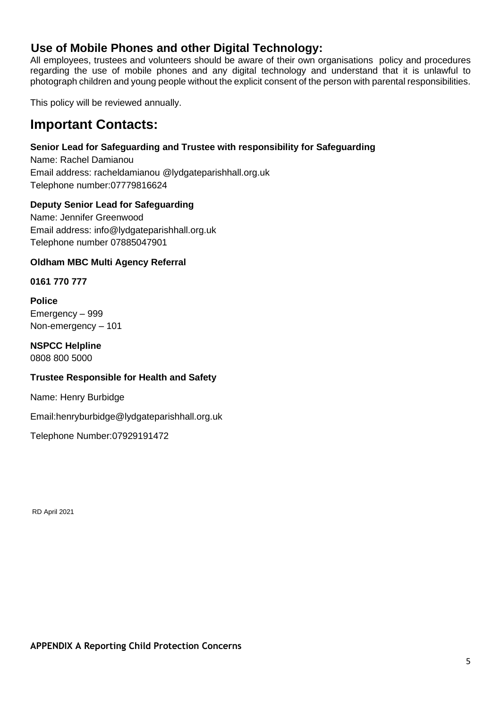## **Use of Mobile Phones and other Digital Technology:**

All employees, trustees and volunteers should be aware of their own organisations policy and procedures regarding the use of mobile phones and any digital technology and understand that it is unlawful to photograph children and young people without the explicit consent of the person with parental responsibilities.

This policy will be reviewed annually.

# **Important Contacts:**

#### **Senior Lead for Safeguarding and Trustee with responsibility for Safeguarding**

Name: Rachel Damianou Email address: racheldamianou @lydgateparishhall.org.uk Telephone number:07779816624

#### **Deputy Senior Lead for Safeguarding**

Name: Jennifer Greenwood Email address: info@lydgateparishhall.org.uk Telephone number 07885047901

#### **Oldham MBC Multi Agency Referral**

#### **0161 770 777**

#### **Police**

Emergency – 999 Non-emergency – 101

**NSPCC Helpline** 0808 800 5000

#### **Trustee Responsible for Health and Safety**

Name: Henry Burbidge

Email:henryburbidge@lydgateparishhall.org.uk

Telephone Number:07929191472

RD April 2021

**APPENDIX A Reporting Child Protection Concerns**